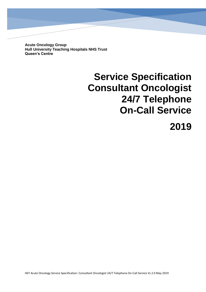**Acute Oncology Group Hull University Teaching Hospitals NHS Trust Queen's Centre**

# **Service Specification Consultant Oncologist 24/7 Telephone On-Call Service**

# **2019**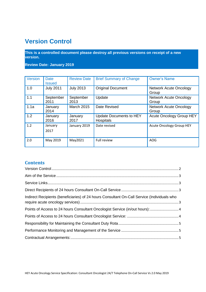# **Version Control**

**This is a controlled document please destroy all previous versions on receipt of a new version.**

**Review Date: January 2019**

| Version | <b>Date</b><br><b>Issued</b> | <b>Review Date</b> | <b>Brief Summary of Change</b>                     | <b>Owner's Name</b>                    |
|---------|------------------------------|--------------------|----------------------------------------------------|----------------------------------------|
| 1.0     | <b>July 2011</b>             | <b>July 2013</b>   | <b>Original Document</b>                           | <b>Network Acute Oncology</b><br>Group |
| 1.1     | September<br>2011            | September<br>2013  | Update                                             | <b>Network Acute Oncology</b><br>Group |
| 1.1a    | January<br>2014              | <b>March 2015</b>  | Date Revised                                       | <b>Network Acute Oncology</b><br>Group |
| 1.2     | January<br>2016              | January<br>2017    | <b>Update Documents to HEY</b><br><b>Hospitals</b> | <b>Acute Oncology Group HEY</b>        |
| 1.2     | January<br>2017              | January 2019       | Date revised                                       | <b>Acute Oncology Group HEY</b>        |
| 2.0     | May 2019                     | May2021            | Full review                                        | <b>AOG</b>                             |

#### **Contents**

| Indirect Recipients (beneficiaries) of 24 hours Consultant On-Call Service (Individuals who |  |
|---------------------------------------------------------------------------------------------|--|
| Points of Access to 24 hours Consultant Oncologist Service (in/out hours): 4                |  |
|                                                                                             |  |
|                                                                                             |  |
|                                                                                             |  |
|                                                                                             |  |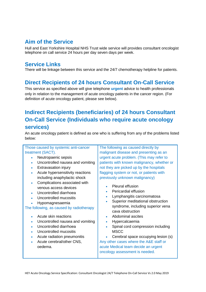## **Aim of the Service**

Hull and East Yorkshire Hospital NHS Trust wide service will provides consultant oncologist telephone on call service 24 hours per day seven days per week.

# **Service Links**

There will be linkage between this service and the 24/7 chemotherapy helpline for patients.

# **Direct Recipients of 24 hours Consultant On-Call Service**

This service as specified above will give telephone **urgent** advice to health professionals only in relation to the management of acute oncology patients in the cancer region. (For definition of acute oncology patient, please see below).

# **Indirect Recipients (beneficiaries) of 24 hours Consultant On-Call Service (Individuals who require acute oncology services)**

An acute oncology patient is defined as one who is suffering from any of the problems listed below:

#### Those caused by systemic anti-cancer treatment (SACT).

- Neutropaenic sepsis
- Uncontrolled nausea and vomiting
- Extravasation injury
- Acute hypersensitivity reactions including anaphylactic shock
- Complications associated with venous access devices
- Uncontrolled diarrhoea
- Uncontrolled mucositis
- Hypomagnesaemia

#### The following, as caused by radiotherapy

- Acute skin reactions
- Uncontrolled nausea and vomiting
- Uncontrolled diarrhoea
- Uncontrolled mucositis
- Acute radiation pneumonitis
- Acute cerebral/other CNS, oedema.

The following as caused directly by malignant disease and presenting as an urgent acute problem. (This may refer to patients with known malignancy, whether or not they are picked up by the hospitals flagging system or not, or patients with previously unknown malignancy)

- Pleural effusion
- Pericardial effusion
- Lymphangitis carcinomatosa
- Superior meditational obstruction syndrome, including superior vena cava obstruction
- Abdominal ascites
- Hypercalcaemia
- Spinal cord compression including MSCC
- Cerebral space occupying lesion (s) Any other cases where the A&E staff or acute Medical team decide an urgent oncology assessment is needed.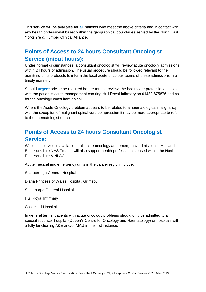This service will be available for **all** patients who meet the above criteria and in contact with any health professional based within the geographical boundaries served by the North East Yorkshire & Humber Clinical Alliance.

# **Points of Access to 24 hours Consultant Oncologist Service (in/out hours):**

Under normal circumstances, a consultant oncologist will review acute oncology admissions within 24 hours of admission. The usual procedure should be followed relevant to the admitting units protocols to inform the local acute oncology teams of these admissions in a timely manner.

Should **urgent** advice be required before routine review, the healthcare professional tasked with the patient's acute management can ring Hull Royal Infirmary on 01482 875875 and ask for the oncology consultant on call.

Where the Acute Oncology problem appears to be related to a haematological malignancy with the exception of malignant spinal cord compression it may be more appropriate to refer to the haematologist on-call.

# **Points of Access to 24 hours Consultant Oncologist Service:**

While this service is available to all acute oncology and emergency admission in Hull and East Yorkshire NHS Trust, it will also support health professionals based within the North East Yorkshire & NLAG.

Acute medical and emergency units in the cancer region include:

Scarborough General Hospital

Diana Princess of Wales Hospital, Grimsby

Scunthorpe General Hospital

Hull Royal Infirmary

Castle Hill Hospital

In general terms, patients with acute oncology problems should only be admitted to a specialist cancer hospital (Queen's Centre for Oncology and Haematology) or hospitals with a fully functioning A&E and/or MAU in the first instance.